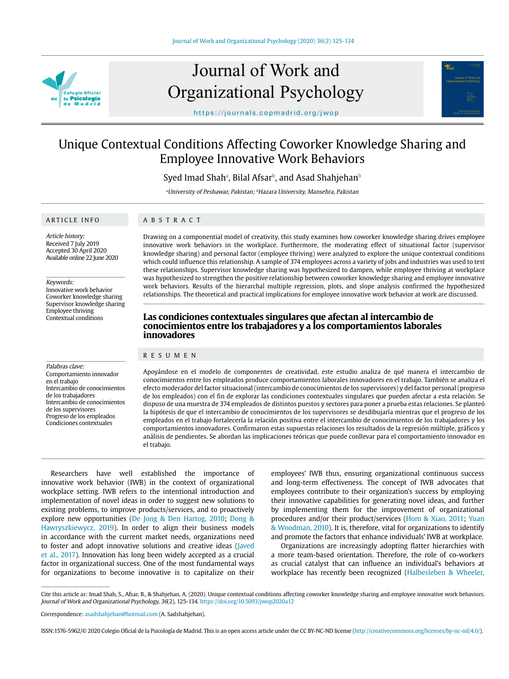

# Journal of Work and Organizational Psychology



https://journals.copmadrid.org/jwop

## Unique Contextual Conditions Affecting Coworker Knowledge Sharing and Employee Innovative Work Behaviors

Syed Imad Shahª, Bilal Afsar<sup>ь</sup>, and Asad Shahjehan<sup>ь</sup>

<sup>a</sup>University of Peshawar, Pakistan; <sup>b</sup>Hazara University, Mansehra, Pakistan

#### ARTICLE INFO

### ABSTRACT

Article history: Received 7 July 2019 Accepted 30 April 2020 Available online 22 June 2020

#### Keywords:

Innovative work behavior Coworker knowledge sharing Supervisor knowledge sharing Employee thriving Contextual conditions

Palabras clave: Comportamiento innovador en el trabajo Intercambio de conocimientos de los trabajadores Intercambio de conocimientos de los supervisores Progreso de los empleados Condiciones contextuales

Drawing on a componential model of creativity, this study examines how coworker knowledge sharing drives employee innovative work behaviors in the workplace. Furthermore, the moderating effect of situational factor (supervisor knowledge sharing) and personal factor (employee thriving) were analyzed to explore the unique contextual conditions which could influence this relationship. A sample of 374 employees across a variety of jobs and industries was used to test these relationships. Supervisor knowledge sharing was hypothesized to dampen, while employee thriving at workplace was hypothesized to strengthen the positive relationship between coworker knowledge sharing and employee innovative work behaviors. Results of the hierarchal multiple regression, plots, and slope analysis confirmed the hypothesized relationships. The theoretical and practical implications for employee innovative work behavior at work are discussed.

#### **Las condiciones contextuales singulares que afectan al intercambio de conocimientos entre los trabajadores y a los comportamientos laborales innovadores**

#### RESUMEN

Apoyándose en el modelo de componentes de creatividad, este estudio analiza de qué manera el intercambio de conocimientos entre los empleados produce comportamientos laborales innovadores en el trabajo. También se analiza el efecto moderador del factor situacional (intercambio de conocimientos de los supervisores) y del factor personal (progreso de los empleados) con el fin de explorar las condiciones contextuales singulares que pueden afectar a esta relación. Se dispuso de una muestra de 374 empleados de distintos puestos y sectores para poner a prueba estas relaciones. Se planteó la hipótesis de que el intercambio de conocimientos de los supervisores se desdibujaría mientras que el progreso de los empleados en el trabajo fortalecería la relación positiva entre el intercambio de conocimientos de los trabajadores y los comportamientos innovadores. Confirmaron estas supuestas relaciones los resultados de la regresión múltiple, gráficos y análisis de pendientes. Se abordan las implicaciones teóricas que puede conllevar para el comportamiento innovador en el trabajo.

Researchers have well established the importance of innovative work behavior (IWB) in the context of organizational workplace setting. IWB refers to the intentional introduction and implementation of novel ideas in order to suggest new solutions to existing problems, to improve products/services, and to proactively explore new opportunities (De Jong & Den Hartog, 2010; Dong & Hawryszkiewycz, 2019). In order to align their business models in accordance with the current market needs, organizations need to foster and adopt innovative solutions and creative ideas (Javed et al., 2017). Innovation has long been widely accepted as a crucial factor in organizational success. One of the most fundamental ways for organizations to become innovative is to capitalize on their

employees' IWB thus, ensuring organizational continuous success and long-term effectiveness. The concept of IWB advocates that employees contribute to their organization's success by employing their innovative capabilities for generating novel ideas, and further by implementing them for the improvement of organizational procedures and/or their product/services (Hom & Xiao, 2011; Yuan & Woodman, 2010). It is, therefore, vital for organizations to identify and promote the factors that enhance individuals' IWB at workplace.

Organizations are increasingly adopting flatter hierarchies with a more team-based orientation. Therefore, the role of co-workers as crucial catalyst that can influence an individual's behaviors at workplace has recently been recognized (Halbesleben & Wheeler,

Cite this article as: Imad Shah, S., Afsar, B., & Shahjehan, A. (2020). Unique contextual conditions affecting coworker knowledge sharing and employee innovative work behaviors. Journal of Work and Organizational Psychology, 36(2), 125-134. https://doi.org/10.5093/jwop2020a12

ISSN:1576-5962/© 2020 Colegio Oficial de la Psicología de Madrid. This is an open access article under the CC BY-NC-ND license (http://creativecommons.org/licenses/by-nc-nd/4.0/).

Correspondence: asadshahjehan@hotmail.com (A. Sadshahjehan).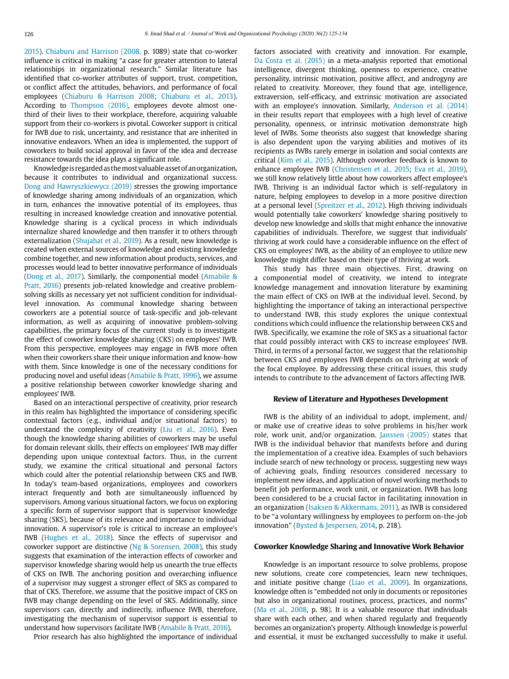2015). Chiaburu and Harrison (2008, p. 1089) state that co-worker influence is critical in making "a case for greater attention to lateral relationships in organizational research." Similar literature has identified that co-worker attributes of support, trust, competition, or conflict affect the attitudes, behaviors, and performance of focal employees (Chiaburu & Harrison 2008; Chiaburu et al., 2013). According to Thompson (2016), employees devote almost onethird of their lives to their workplace, therefore, acquiring valuable support from their co-workers is pivotal. Coworker support is critical for IWB due to risk, uncertainty, and resistance that are inherited in innovative endeavors. When an idea is implemented, the support of coworkers to build social approval in favor of the idea and decrease resistance towards the idea plays a significant role.

Knowledge is regarded as the most valuable asset of an organization, because it contributes to individual and organizational success. Dong and Hawryszkiewycz (2019) stresses the growing importance of knowledge sharing among individuals of an organization, which in turn, enhances the innovative potential of its employees, thus resulting in increased knowledge creation and innovative potential. Knowledge sharing is a cyclical process in which individuals internalize shared knowledge and then transfer it to others through externalization (Shujahat et al., 2019). As a result, new knowledge is created when external sources of knowledge and existing knowledge combine together, and new information about products, services, and processes would lead to better innovative performance of individuals (Dong et al., 2017). Similarly, the componential model (Amabile & Pratt, 2016) presents job-related knowledge and creative problemsolving skills as necessary yet not sufficient condition for individuallevel innovation. As communal knowledge sharing between coworkers are a potential source of task-specific and job-relevant information, as well as acquiring of innovative problem-solving capabilities, the primary focus of the current study is to investigate the effect of coworker knowledge sharing (CKS) on employees' IWB. From this perspective, employees may engage in IWB more often when their coworkers share their unique information and know-how with them. Since knowledge is one of the necessary conditions for producing novel and useful ideas (Amabile & Pratt, 1996), we assume a positive relationship between coworker knowledge sharing and employees' IWB.

Based on an interactional perspective of creativity, prior research in this realm has highlighted the importance of considering specific contextual factors (e.g., individual and/or situational factors) to understand the complexity of creativity (Liu et al., 2016). Even though the knowledge sharing abilities of coworkers may be useful for domain relevant skills, their effects on employees' IWB may differ depending upon unique contextual factors. Thus, in the current study, we examine the critical situational and personal factors which could alter the potential relationship between CKS and IWB. In today's team-based organizations, employees and coworkers interact frequently and both are simultaneously influenced by supervisors. Among various situational factors, we focus on exploring a specific form of supervisor support that is supervisor knowledge sharing (SKS), because of its relevance and importance to individual innovation. A supervisor's role is critical to increase an employee's IWB (Hughes et al., 2018). Since the effects of supervisor and coworker support are distinctive (Ng & Sorensen, 2008), this study suggests that examination of the interaction effects of coworker and supervisor knowledge sharing would help us unearth the true effects of CKS on IWB. The anchoring position and overarching influence of a supervisor may suggest a stronger effect of SKS as compared to that of CKS. Therefore, we assume that the positive impact of CKS on IWB may change depending on the level of SKS. Additionally, since supervisors can, directly and indirectly, influence IWB, therefore, investigating the mechanism of supervisor support is essential to understand how supervisors facilitate IWB (Amabile & Pratt, 2016).

Prior research has also highlighted the importance of individual

factors associated with creativity and innovation. For example, Da Costa et al. (2015) in a meta-analysis reported that emotional intelligence, divergent thinking, openness to experience, creative personality, intrinsic motivation, positive affect, and androgyny are related to creativity. Moreover, they found that age, intelligence, extraversion, self-efficacy, and extrinsic motivation are associated with an employee's innovation. Similarly, Anderson et al. (2014) in their results report that employees with a high level of creative personality, openness, or intrinsic motivation demonstrate high level of IWBs. Some theorists also suggest that knowledge sharing is also dependent upon the varying abilities and motives of its recipients as IWBs rarely emerge in isolation and social contexts are critical (Kim et al., 2015). Although coworker feedback is known to enhance employee IWB (Christensen et al., 2015; Eva et al., 2019), we still know relatively little about how coworkers affect employee's IWB. Thriving is an individual factor which is self-regulatory in nature, helping employees to develop in a more positive direction at a personal level (Spreitzer et al., 2012). High thriving individuals would potentially take coworkers' knowledge sharing positively to develop new knowledge and skills that might enhance the innovative capabilities of individuals. Therefore, we suggest that individuals' thriving at work could have a considerable influence on the effect of CKS on employees' IWB, as the ability of an employee to utilize new knowledge might differ based on their type of thriving at work.

This study has three main objectives. First, drawing on a componential model of creativity, we intend to integrate knowledge management and innovation literature by examining the main effect of CKS on IWB at the individual level. Second, by highlighting the importance of taking an interactional perspective to understand IWB, this study explores the unique contextual conditions which could influence the relationship between CKS and IWB. Specifically, we examine the role of SKS as a situational factor that could possibly interact with CKS to increase employees' IWB. Third, in terms of a personal factor, we suggest that the relationship between CKS and employees IWB depends on thriving at work of the focal employee. By addressing these critical issues, this study intends to contribute to the advancement of factors affecting IWB.

#### **Review of Literature and Hypotheses Development**

IWB is the ability of an individual to adopt, implement, and/ or make use of creative ideas to solve problems in his/her work role, work unit, and/or organization. Janssen (2005) states that IWB is the individual behavior that manifests before and during the implementation of a creative idea. Examples of such behaviors include search of new technology or process, suggesting new ways of achieving goals, finding resources considered necessary to implement new ideas, and application of novel working methods to benefit job performance, work unit, or organization. IWB has long been considered to be a crucial factor in facilitating innovation in an organization (Isaksen & Akkermans, 2011), as IWB is considered to be "a voluntary willingness by employees to perform on-the-job innovation" (Bysted & Jespersen, 2014, p. 218).

#### **Coworker Knowledge Sharing and Innovative Work Behavior**

Knowledge is an important resource to solve problems, propose new solutions, create core competencies, learn new techniques, and initiate positive change (Liao et al., 2009). In organizations, knowledge often is "embedded not only in documents or repositories but also in organizational routines, process, practices, and norms" (Ma et al., 2008, p. 98). It is a valuable resource that individuals share with each other, and when shared regularly and frequently becomes an organization's property. Although knowledge is powerful and essential, it must be exchanged successfully to make it useful.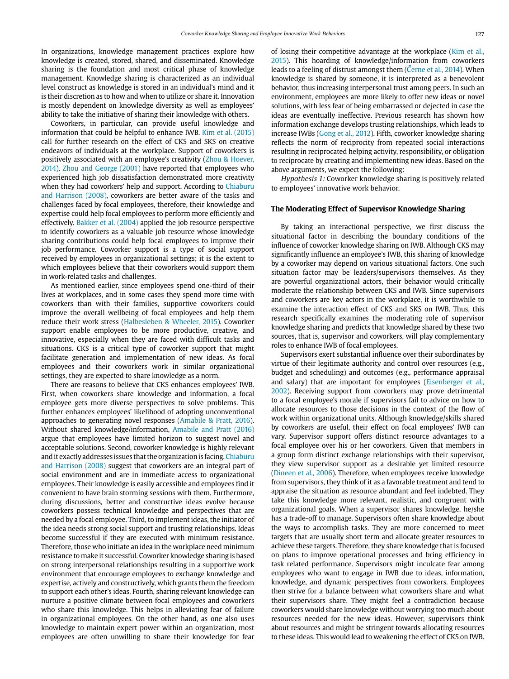In organizations, knowledge management practices explore how knowledge is created, stored, shared, and disseminated. Knowledge sharing is the foundation and most critical phase of knowledge management. Knowledge sharing is characterized as an individual level construct as knowledge is stored in an individual's mind and it is their discretion as to how and when to utilize or share it. Innovation is mostly dependent on knowledge diversity as well as employees' ability to take the initiative of sharing their knowledge with others.

Coworkers, in particular, can provide useful knowledge and information that could be helpful to enhance IWB. Kim et al. (2015) call for further research on the effect of CKS and SKS on creative endeavors of individuals at the workplace. Support of coworkers is positively associated with an employee's creativity (Zhou & Hoever, 2014). Zhou and George (2001) have reported that employees who experienced high job dissatisfaction demonstrated more creativity when they had coworkers' help and support. According to Chiaburu and Harrison (2008), coworkers are better aware of the tasks and challenges faced by focal employees, therefore, their knowledge and expertise could help focal employees to perform more efficiently and effectively. Bakker et al. (2004) applied the job resource perspective to identify coworkers as a valuable job resource whose knowledge sharing contributions could help focal employees to improve their job performance. Coworker support is a type of social support received by employees in organizational settings; it is the extent to which employees believe that their coworkers would support them in work-related tasks and challenges.

As mentioned earlier, since employees spend one-third of their lives at workplaces, and in some cases they spend more time with coworkers than with their families, supportive coworkers could improve the overall wellbeing of focal employees and help them reduce their work stress (Halbesleben & Wheeler, 2015). Coworker support enable employees to be more productive, creative, and innovative, especially when they are faced with difficult tasks and situations. CKS is a critical type of coworker support that might facilitate generation and implementation of new ideas. As focal employees and their coworkers work in similar organizational settings, they are expected to share knowledge as a norm.

There are reasons to believe that CKS enhances employees' IWB. First, when coworkers share knowledge and information, a focal employee gets more diverse perspectives to solve problems. This further enhances employees' likelihood of adopting unconventional approaches to generating novel responses (Amabile & Pratt, 2016). Without shared knowledge/information, Amabile and Pratt (2016) argue that employees have limited horizon to suggest novel and acceptable solutions. Second, coworker knowledge is highly relevant and it exactly addresses issues that the organization is facing. Chiaburu and Harrison (2008) suggest that coworkers are an integral part of social environment and are in immediate access to organizational employees. Their knowledge is easily accessible and employees find it convenient to have brain storming sessions with them. Furthermore, during discussions, better and constructive ideas evolve because coworkers possess technical knowledge and perspectives that are needed by a focal employee. Third, to implement ideas, the initiator of the idea needs strong social support and trusting relationships. Ideas become successful if they are executed with minimum resistance. Therefore, those who initiate an idea in the workplace need minimum resistance to make it successful. Coworker knowledge sharing is based on strong interpersonal relationships resulting in a supportive work environment that encourage employees to exchange knowledge and expertise, actively and constructively, which grants them the freedom to support each other's ideas. Fourth, sharing relevant knowledge can nurture a positive climate between focal employees and coworkers who share this knowledge. This helps in alleviating fear of failure in organizational employees. On the other hand, as one also uses knowledge to maintain expert power within an organization, most employees are often unwilling to share their knowledge for fear

of losing their competitive advantage at the workplace (Kim et al., 2015). This hoarding of knowledge/information from coworkers leads to a feeling of distrust amongst them (Cerne et al., 2014). When knowledge is shared by someone, it is interpreted as a benevolent behavior, thus increasing interpersonal trust among peers. In such an environment, employees are more likely to offer new ideas or novel solutions, with less fear of being embarrassed or dejected in case the ideas are eventually ineffective. Previous research has shown how information exchange develops trusting relationships, which leads to increase IWBs (Gong et al., 2012). Fifth, coworker knowledge sharing reflects the norm of reciprocity from repeated social interactions resulting in reciprocated helping activity, responsibility, or obligation to reciprocate by creating and implementing new ideas. Based on the above arguments, we expect the following:

Hypothesis 1: Coworker knowledge sharing is positively related to employees' innovative work behavior.

#### **The Moderating Effect of Supervisor Knowledge Sharing**

By taking an interactional perspective, we first discuss the situational factor in describing the boundary conditions of the influence of coworker knowledge sharing on IWB. Although CKS may significantly influence an employee's IWB, this sharing of knowledge by a coworker may depend on various situational factors. One such situation factor may be leaders/supervisors themselves. As they are powerful organizational actors, their behavior would critically moderate the relationship between CKS and IWB. Since supervisors and coworkers are key actors in the workplace, it is worthwhile to examine the interaction effect of CKS and SKS on IWB. Thus, this research specifically examines the moderating role of supervisor knowledge sharing and predicts that knowledge shared by these two sources, that is, supervisor and coworkers, will play complementary roles to enhance IWB of focal employees.

Supervisors exert substantial influence over their subordinates by virtue of their legitimate authority and control over resources (e.g., budget and scheduling) and outcomes (e.g., performance appraisal and salary) that are important for employees (Eisenberger et al., 2002). Receiving support from coworkers may prove detrimental to a focal employee's morale if supervisors fail to advice on how to allocate resources to those decisions in the context of the flow of work within organizational units. Although knowledge/skills shared by coworkers are useful, their effect on focal employees' IWB can vary. Supervisor support offers distinct resource advantages to a focal employee over his or her coworkers. Given that members in a group form distinct exchange relationships with their supervisor, they view supervisor support as a desirable yet limited resource (Dineen et al., 2006). Therefore, when employees receive knowledge from supervisors, they think of it as a favorable treatment and tend to appraise the situation as resource abundant and feel indebted. They take this knowledge more relevant, realistic, and congruent with organizational goals. When a supervisor shares knowledge, he/she has a trade-off to manage. Supervisors often share knowledge about the ways to accomplish tasks. They are more concerned to meet targets that are usually short term and allocate greater resources to achieve these targets. Therefore, they share knowledge that is focused on plans to improve operational processes and bring efficiency in task related performance. Supervisors might inculcate fear among employees who want to engage in IWB due to ideas, information, knowledge, and dynamic perspectives from coworkers. Employees then strive for a balance between what coworkers share and what their supervisors share. They might feel a contradiction because coworkers would share knowledge without worrying too much about resources needed for the new ideas. However, supervisors think about resources and might be stringent towards allocating resources to these ideas. This would lead to weakening the effect of CKS on IWB.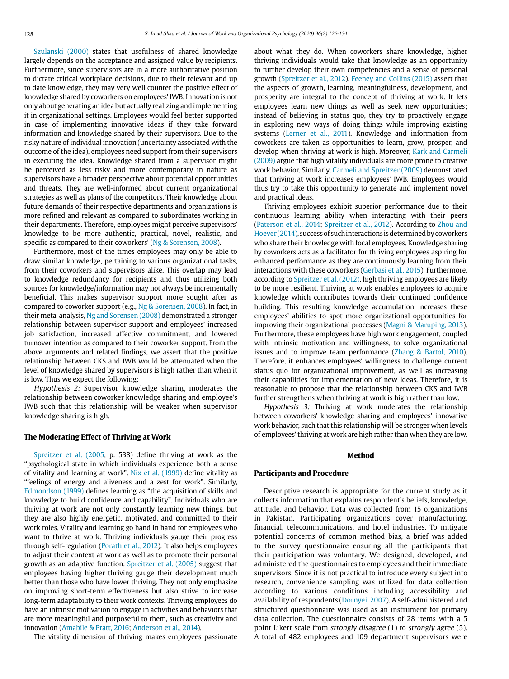Szulanski (2000) states that usefulness of shared knowledge largely depends on the acceptance and assigned value by recipients. Furthermore, since supervisors are in a more authoritative position to dictate critical workplace decisions, due to their relevant and up to date knowledge, they may very well counter the positive effect of knowledge shared by coworkers on employees' IWB. Innovation is not only about generating an idea but actually realizing and implementing it in organizational settings. Employees would feel better supported in case of implementing innovative ideas if they take forward information and knowledge shared by their supervisors. Due to the risky nature of individual innovation (uncertainty associated with the outcome of the idea), employees need support from their supervisors in executing the idea. Knowledge shared from a supervisor might be perceived as less risky and more contemporary in nature as supervisors have a broader perspective about potential opportunities and threats. They are well-informed about current organizational strategies as well as plans of the competitors. Their knowledge about future demands of their respective departments and organizations is more refined and relevant as compared to subordinates working in their departments. Therefore, employees might perceive supervisors' knowledge to be more authentic, practical, novel, realistic, and specific as compared to their coworkers' (Ng & Sorensen, 2008).

Furthermore, most of the times employees may only be able to draw similar knowledge, pertaining to various organizational tasks, from their coworkers and supervisors alike. This overlap may lead to knowledge redundancy for recipients and thus utilizing both sources for knowledge/information may not always be incrementally beneficial. This makes supervisor support more sought after as compared to coworker support (e.g., Ng & Sorensen, 2008). In fact, in their meta-analysis, Ng and Sorensen (2008) demonstrated a stronger relationship between supervisor support and employees' increased job satisfaction, increased affective commitment, and lowered turnover intention as compared to their coworker support. From the above arguments and related findings, we assert that the positive relationship between CKS and IWB would be attenuated when the level of knowledge shared by supervisors is high rather than when it is low. Thus we expect the following:

Hypothesis 2: Supervisor knowledge sharing moderates the relationship between coworker knowledge sharing and employee's IWB such that this relationship will be weaker when supervisor knowledge sharing is high.

#### **The Moderating Effect of Thriving at Work**

Spreitzer et al. (2005, p. 538) define thriving at work as the "psychological state in which individuals experience both a sense of vitality and learning at work". Nix et al. (1999) define vitality as "feelings of energy and aliveness and a zest for work". Similarly, Edmondson (1999) defines learning as "the acquisition of skills and knowledge to build confidence and capability". Individuals who are thriving at work are not only constantly learning new things, but they are also highly energetic, motivated, and committed to their work roles. Vitality and learning go hand in hand for employees who want to thrive at work. Thriving individuals gauge their progress through self-regulation (Porath et al., 2012). It also helps employees to adjust their context at work as well as to promote their personal growth as an adaptive function. Spreitzer et al. (2005) suggest that employees having higher thriving gauge their development much better than those who have lower thriving. They not only emphasize on improving short-term effectiveness but also strive to increase long-term adaptability to their work contexts. Thriving employees do have an intrinsic motivation to engage in activities and behaviors that are more meaningful and purposeful to them, such as creativity and innovation (Amabile & Pratt, 2016; Anderson et al., 2014).

The vitality dimension of thriving makes employees passionate

about what they do. When coworkers share knowledge, higher thriving individuals would take that knowledge as an opportunity to further develop their own competencies and a sense of personal growth (Spreitzer et al., 2012). Feeney and Collins (2015) assert that the aspects of growth, learning, meaningfulness, development, and prosperity are integral to the concept of thriving at work. It lets employees learn new things as well as seek new opportunities; instead of believing in status quo, they try to proactively engage in exploring new ways of doing things while improving existing systems (Lerner et al., 2011). Knowledge and information from coworkers are taken as opportunities to learn, grow, prosper, and develop when thriving at work is high. Moreover, Kark and Carmeli (2009) argue that high vitality individuals are more prone to creative work behavior. Similarly, Carmeli and Spreitzer (2009) demonstrated that thriving at work increases employees' IWB. Employees would thus try to take this opportunity to generate and implement novel and practical ideas.

Thriving employees exhibit superior performance due to their continuous learning ability when interacting with their peers (Paterson et al., 2014; Spreitzer et al., 2012). According to Zhou and Hoever (2014), success of such interactions is determined by coworkers who share their knowledge with focal employees. Knowledge sharing by coworkers acts as a facilitator for thriving employees aspiring for enhanced performance as they are continuously learning from their interactions with these coworkers (Gerbasi et al., 2015). Furthermore, according to Spreitzer et al. (2012), high thriving employees are likely to be more resilient. Thriving at work enables employees to acquire knowledge which contributes towards their continued confidence building. This resulting knowledge accumulation increases these employees' abilities to spot more organizational opportunities for improving their organizational processes (Magni & Maruping, 2013). Furthermore, these employees have high work engagement, coupled with intrinsic motivation and willingness, to solve organizational issues and to improve team performance (Zhang & Bartol, 2010). Therefore, it enhances employees' willingness to challenge current status quo for organizational improvement, as well as increasing their capabilities for implementation of new ideas. Therefore, it is reasonable to propose that the relationship between CKS and IWB further strengthens when thriving at work is high rather than low.

Hypothesis 3: Thriving at work moderates the relationship between coworkers' knowledge sharing and employees' innovative work behavior, such that this relationship will be stronger when levels of employees' thriving at work are high rather than when they are low.

#### **Method**

#### **Participants and Procedure**

Descriptive research is appropriate for the current study as it collects information that explains respondent's beliefs, knowledge, attitude, and behavior. Data was collected from 15 organizations in Pakistan. Participating organizations cover manufacturing, financial, telecommunications, and hotel industries. To mitigate potential concerns of common method bias, a brief was added to the survey questionnaire ensuring all the participants that their participation was voluntary. We designed, developed, and administered the questionnaires to employees and their immediate supervisors. Since it is not practical to introduce every subject into research, convenience sampling was utilized for data collection according to various conditions including accessibility and availability of respondents (Dörnyei, 2007). A self-administered and structured questionnaire was used as an instrument for primary data collection. The questionnaire consists of 28 items with a 5 point Likert scale from strongly disagree (1) to strongly agree (5). A total of 482 employees and 109 department supervisors were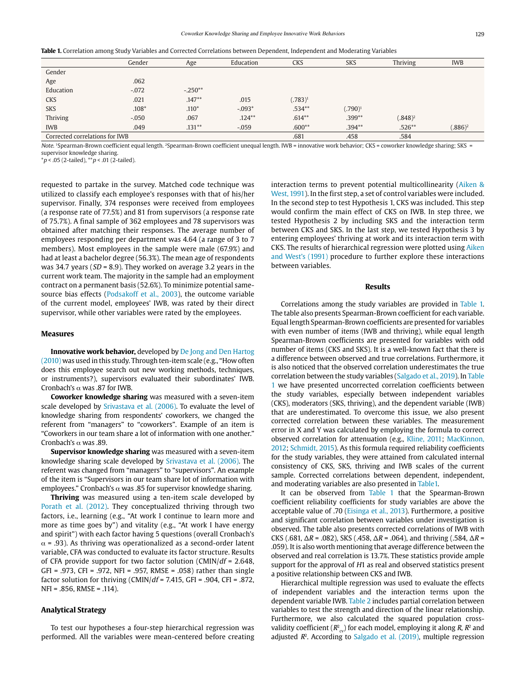| Table 1. Correlation among Study Variables and Corrected Correlations between Dependent, Independent and Moderating Variables |  |  |
|-------------------------------------------------------------------------------------------------------------------------------|--|--|
|-------------------------------------------------------------------------------------------------------------------------------|--|--|

|                                | Gender  | Age       | Education | <b>CKS</b> | <b>SKS</b> | Thriving   | <b>IWB</b> |
|--------------------------------|---------|-----------|-----------|------------|------------|------------|------------|
| Gender                         |         |           |           |            |            |            |            |
| Age                            | .062    |           |           |            |            |            |            |
| Education                      | $-.072$ | $-.250**$ |           |            |            |            |            |
| <b>CKS</b>                     | .021    | $.147**$  | .015      | $(.783)^1$ |            |            |            |
| <b>SKS</b>                     | $.108*$ | $.110*$   | $-.093*$  | $.534**$   | $(.790)^1$ |            |            |
| Thriving                       | $-.050$ | .067      | $.124**$  | $.614**$   | $.399**$   | $(.848)^2$ |            |
| <b>IWB</b>                     | .049    | $.131***$ | $-.059$   | $.600**$   | $.394**$   | $.526**$   | $(.886)^2$ |
| Corrected correlations for IWB |         |           |           | .681       | .458       | .584       |            |

Note. 1Spearman-Brown coefficient equal length. 2Spearman-Brown coefficient unequal length. IWB = innovative work behavior; CKS = coworker knowledge sharing; SKS = supervisor knowledge sharing.

 $*p$  < .05 (2-tailed),  $*p$  < .01 (2-tailed).

requested to partake in the survey. Matched code technique was utilized to classify each employee's responses with that of his/her supervisor. Finally, 374 responses were received from employees (a response rate of 77.5%) and 81 from supervisors (a response rate of 75.7%). A final sample of 362 employees and 78 supervisors was obtained after matching their responses. The average number of employees responding per department was 4.64 (a range of 3 to 7 members). Most employees in the sample were male (67.9%) and had at least a bachelor degree (56.3%). The mean age of respondents was 34.7 years ( $SD = 8.9$ ). They worked on average 3.2 years in the current work team. The majority in the sample had an employment contract on a permanent basis (52.6%). To minimize potential samesource bias effects (Podsakoff et al., 2003), the outcome variable of the current model, employees' IWB, was rated by their direct supervisor, while other variables were rated by the employees.

#### **Measures**

**Innovative work behavior,** developed by De Jong and Den Hartog (2010) was used in this study. Through ten-item scale (e.g., "How often does this employee search out new working methods, techniques, or instruments?), supervisors evaluated their subordinates' IWB. Cronbach's α was .87 for IWB.

**Coworker knowledge sharing** was measured with a seven-item scale developed by Srivastava et al. (2006). To evaluate the level of knowledge sharing from respondents' coworkers, we changed the referent from "managers" to "coworkers". Example of an item is "Coworkers in our team share a lot of information with one another." Cronbach's α was .89.

**Supervisor knowledge sharing** was measured with a seven-item knowledge sharing scale developed by Srivastava et al. (2006). The referent was changed from "managers" to "supervisors". An example of the item is "Supervisors in our team share lot of information with employees." Cronbach's  $\alpha$  was .85 for supervisor knowledge sharing.

**Thriving** was measured using a ten-item scale developed by Porath et al. (2012). They conceptualized thriving through two factors, i.e., learning (e.g., "At work I continue to learn more and more as time goes by") and vitality (e.g., "At work I have energy and spirit") with each factor having 5 questions (overall Cronbach's  $\alpha$  = .93). As thriving was operationalized as a second-order latent variable, CFA was conducted to evaluate its factor structure. Results of CFA provide support for two factor solution (CMIN/ $df = 2.648$ , GFI = .973, CFI = .972, NFI = .957, RMSE = .058) rather than single factor solution for thriving  $(CMIN/df = 7.415, GFI = .904, CFI = .872,$ NFI = .856, RMSE = .114).

#### **Analytical Strategy**

To test our hypotheses a four-step hierarchical regression was performed. All the variables were mean-centered before creating interaction terms to prevent potential multicollinearity (Aiken & West, 1991). In the first step, a set of control variables were included. In the second step to test Hypothesis 1, CKS was included. This step would confirm the main effect of CKS on IWB. In step three, we tested Hypothesis 2 by including SKS and the interaction term between CKS and SKS. In the last step, we tested Hypothesis 3 by entering employees' thriving at work and its interaction term with CKS. The results of hierarchical regression were plotted using Aiken and West's (1991) procedure to further explore these interactions between variables.

#### **Results**

Correlations among the study variables are provided in Table 1. The table also presents Spearman-Brown coefficient for each variable. Equal length Spearman-Brown coefficients are presented for variables with even number of items (IWB and thriving), while equal length Spearman-Brown coefficients are presented for variables with odd number of items (CKS and SKS). It is a well-known fact that there is a difference between observed and true correlations. Furthermore, it is also noticed that the observed correlation underestimates the true correlation between the study variables (Salgado et al., 2019). In Table 1 we have presented uncorrected correlation coefficients between the study variables, especially between independent variables (CKS), moderators (SKS, thriving), and the dependent variable (IWB) that are underestimated. To overcome this issue, we also present corrected correlation between these variables. The measurement error in X and Y was calculated by employing the formula to correct observed correlation for attenuation (e.g., Kline, 2011; MacKinnon, 2012; Schmidt, 2015). As this formula required reliability coefficients for the study variables, they were attained from calculated internal consistency of CKS, SKS, thriving and IWB scales of the current sample. Corrected correlations between dependent, independent, and moderating variables are also presented in Table1.

It can be observed from Table 1 that the Spearman-Brown coefficient reliability coefficients for study variables are above the acceptable value of .70 (Eisinga et al., 2013). Furthermore, a positive and significant correlation between variables under investigation is observed. The table also presents corrected correlations of IWB with CKS (.681,  $\Delta R = .082$ ), SKS (.458,  $\Delta R = .064$ ), and thriving (.584,  $\Delta R =$ .059). It is also worth mentioning that average difference between the observed and real correlation is 13.7%. These statistics provide ample support for the approval of H1 as real and observed statistics present a positive relationship between CKS and IWB.

Hierarchical multiple regression was used to evaluate the effects of independent variables and the interaction terms upon the dependent variable IWB. Table 2 includes partial correlation between variables to test the strength and direction of the linear relationship. Furthermore, we also calculated the squared population crossvalidity coefficient ( $R^2_{\text{cv}}$ ) for each model, employing it along R,  $R^2$  and adjusted  $R^2$ . According to Salgado et al. (2019), multiple regression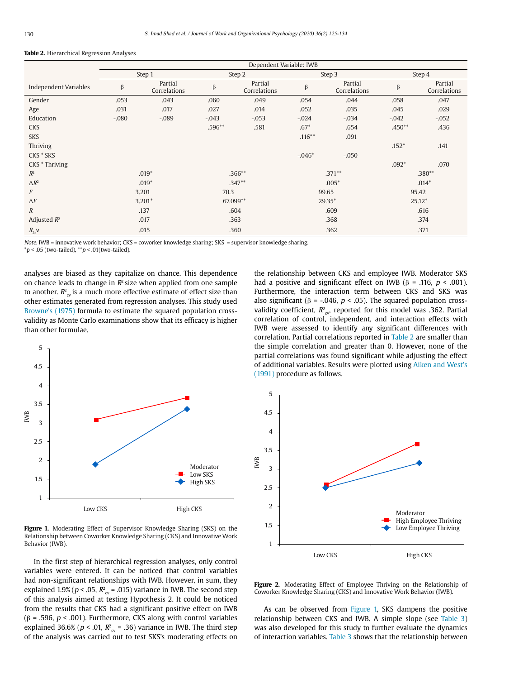#### **Table 2.** Hierarchical Regression Analyses

|                       | Dependent Variable: IWB |                         |          |                         |           |                         |          |                         |
|-----------------------|-------------------------|-------------------------|----------|-------------------------|-----------|-------------------------|----------|-------------------------|
|                       |                         | Step 1                  | Step 2   |                         | Step 3    |                         | Step 4   |                         |
| Independent Variables | β                       | Partial<br>Correlations | β        | Partial<br>Correlations | β         | Partial<br>Correlations | β        | Partial<br>Correlations |
| Gender                | .053                    | .043                    | .060     | .049                    | .054      | .044                    | .058     | .047                    |
| Age                   | .031                    | .017                    | .027     | .014                    | .052      | .035                    | .045     | .029                    |
| Education             | $-.080$                 | $-.089$                 | $-.043$  | $-.053$                 | $-.024$   | $-.034$                 | $-.042$  | $-.052$                 |
| <b>CKS</b>            |                         |                         | .596**   | .581                    | $.67*$    | .654                    | $.450**$ | .436                    |
| <b>SKS</b>            |                         |                         |          |                         | $.116***$ | .091                    |          |                         |
| Thriving              |                         |                         |          |                         |           |                         | $.152*$  | .141                    |
| CKS * SKS             |                         |                         |          |                         | $-.046*$  | $-.050$                 |          |                         |
| CKS * Thriving        |                         |                         |          |                         |           |                         | $.092*$  | .070                    |
| $R^2$                 | $.019*$                 |                         | $.366**$ |                         | $.371**$  |                         | $.380**$ |                         |
| $\Delta R^2$          | $.019*$                 |                         | $.347**$ |                         | $.005*$   |                         | $.014*$  |                         |
| F                     | 3.201                   |                         | 70.3     |                         | 99.65     |                         | 95.42    |                         |
| $\Delta F$            | $3.201*$                |                         | 67.099** |                         | $29.35*$  |                         | $25.12*$ |                         |
| $\boldsymbol{R}$      | .137                    |                         | .604     |                         | .609      |                         | .616     |                         |
| Adjusted $R^2$        |                         | .017                    | .363     |                         | .368      |                         | .374     |                         |
| $R_{2c}$ V            |                         | .015                    |          | .360                    |           | .362                    |          | .371                    |

Note. IWB = innovative work behavior; CKS = coworker knowledge sharing; SKS = supervisor knowledge sharing.  $*$ p < .05 (two-tailed),  $*$  $p$  < .01(two-tailed).

analyses are biased as they capitalize on chance. This dependence on chance leads to change in  $R^2$  size when applied from one sample to another.  $R_{\rm cv}^2$  is a much more effective estimate of effect size than other estimates generated from regression analyses. This study used Browne's (1975) formula to estimate the squared population crossvalidity as Monte Carlo examinations show that its efficacy is higher than other formulae.



**Figure 1.** Moderating Effect of Supervisor Knowledge Sharing (SKS) on the Relationship between Coworker Knowledge Sharing (CKS) and Innovative Work Behavior (IWB).

In the first step of hierarchical regression analyses, only control variables were entered. It can be noticed that control variables had non-significant relationships with IWB. However, in sum, they explained 1.9% ( $p < .05$ ,  $R^2_{\text{cv}} = .015$ ) variance in IWB. The second step of this analysis aimed at testing Hypothesis 2. It could be noticed from the results that CKS had a significant positive effect on IWB (β = .596, p < .001). Furthermore, CKS along with control variables explained 36.6% ( $p < .01$ ,  $R^2_{\text{cv}} = .36$ ) variance in IWB. The third step of the analysis was carried out to test SKS's moderating effects on

the relationship between CKS and employee IWB. Moderator SKS had a positive and significant effect on IWB ( $\beta$  = .116,  $p < .001$ ). Furthermore, the interaction term between CKS and SKS was also significant ( $\beta$  = -.046,  $p < .05$ ). The squared population crossvalidity coefficient,  $R^2_{\text{cv}}$ , reported for this model was .362. Partial correlation of control, independent, and interaction effects with IWB were assessed to identify any significant differences with correlation. Partial correlations reported in Table 2 are smaller than the simple correlation and greater than 0. However, none of the partial correlations was found significant while adjusting the effect of additional variables. Results were plotted using Aiken and West's (1991) procedure as follows.



**Figure 2.** Moderating Effect of Employee Thriving on the Relationship of Coworker Knowledge Sharing (CKS) and Innovative Work Behavior (IWB).

As can be observed from Figure 1, SKS dampens the positive relationship between CKS and IWB. A simple slope (see Table 3) was also developed for this study to further evaluate the dynamics of interaction variables. Table 3 shows that the relationship between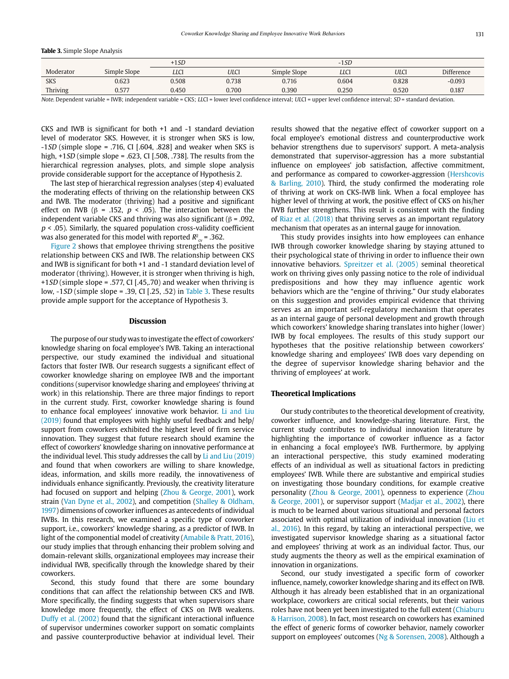|  |  |  | <b>Table 3.</b> Simple Slope Analysis |
|--|--|--|---------------------------------------|
|--|--|--|---------------------------------------|

|            |              | $+1SD$      |             |              | $-1SD$     |       |                   |
|------------|--------------|-------------|-------------|--------------|------------|-------|-------------------|
| Moderator  | Simple Slope | <b>LLCI</b> | <b>ULCI</b> | Simple Slope | <b>LLC</b> | ULCI  | <b>Difference</b> |
| <b>SKS</b> | 0.623        | 0.508       | 0.738       | 0.716        | 0.604      | 0.828 | $-0.093$          |
| Thriving   | 0.577        | 0.450       | 0.700       | 0.390        | 0.250      | 0.520 | 0.187             |

Note. Dependent variable = IWB; independent variable = CKS; LLCI = lower level confidence interval; ULCI = upper level confidence interval; SD = standard deviation.

CKS and IWB is significant for both +1 and -1 standard deviation level of moderator SKS. However, it is stronger when SKS is low,  $-1SD$  (simple slope = .716, CI [.604, .828] and weaker when SKS is high,  $+1SD$  (simple slope = .623, CI [.508, .738]. The results from the hierarchical regression analyses, plots, and simple slope analysis provide considerable support for the acceptance of Hypothesis 2.

The last step of hierarchical regression analyses (step 4) evaluated the moderating effects of thriving on the relationship between CKS and IWB. The moderator (thriving) had a positive and significant effect on IWB (β = .152,  $p \lt 0.05$ ). The interaction between the independent variable CKS and thriving was also significant ( $β = .092$ ,  $p < .05$ ). Similarly, the squared population cross-validity coefficient was also generated for this model with reported  $R_{\tiny\mbox{cv}}^{\hbox{\tiny2}}$  = .362.

Figure 2 shows that employee thriving strengthens the positive relationship between CKS and IWB. The relationship between CKS and IWB is significant for both +1 and -1 standard deviation level of moderator (thriving). However, it is stronger when thriving is high, +1SD (simple slope = .577, CI [.45,.70) and weaker when thriving is low, -1SD (simple slope = .39, CI [.25, .52) in Table 3. These results provide ample support for the acceptance of Hypothesis 3.

#### **Discussion**

The purpose of our study was to investigate the effect of coworkers' knowledge sharing on focal employee's IWB. Taking an interactional perspective, our study examined the individual and situational factors that foster IWB. Our research suggests a significant effect of coworker knowledge sharing on employee IWB and the important conditions (supervisor knowledge sharing and employees' thriving at work) in this relationship. There are three major findings to report in the current study. First, coworker knowledge sharing is found to enhance focal employees' innovative work behavior. Li and Liu (2019) found that employees with highly useful feedback and help/ support from coworkers exhibited the highest level of firm service innovation. They suggest that future research should examine the effect of coworkers' knowledge sharing on innovative performance at the individual level. This study addresses the call by Li and Liu (2019) and found that when coworkers are willing to share knowledge, ideas, information, and skills more readily, the innovativeness of individuals enhance significantly. Previously, the creativity literature had focused on support and helping (Zhou & George, 2001), work strain (Van Dyne et al., 2002), and competition (Shalley & Oldham, 1997) dimensions of coworker influences as antecedents of individual IWBs. In this research, we examined a specific type of coworker support, i.e., coworkers' knowledge sharing, as a predictor of IWB. In light of the componential model of creativity (Amabile & Pratt, 2016), our study implies that through enhancing their problem solving and domain-relevant skills, organizational employees may increase their individual IWB, specifically through the knowledge shared by their coworkers.

Second, this study found that there are some boundary conditions that can affect the relationship between CKS and IWB. More specifically, the finding suggests that when supervisors share knowledge more frequently, the effect of CKS on IWB weakens. Duffy et al. (2002) found that the significant interactional influence of supervisor undermines coworker support on somatic complaints and passive counterproductive behavior at individual level. Their results showed that the negative effect of coworker support on a focal employee's emotional distress and counterproductive work behavior strengthens due to supervisors' support. A meta-analysis demonstrated that supervisor-aggression has a more substantial influence on employees' job satisfaction, affective commitment, and performance as compared to coworker-aggression (Hershcovis & Barling, 2010). Third, the study confirmed the moderating role of thriving at work on CKS-IWB link. When a focal employee has higher level of thriving at work, the positive effect of CKS on his/her IWB further strengthens. This result is consistent with the finding of Riaz et al. (2018) that thriving serves as an important regulatory mechanism that operates as an internal gauge for innovation.

This study provides insights into how employees can enhance IWB through coworker knowledge sharing by staying attuned to their psychological state of thriving in order to influence their own innovative behaviors. Spreitzer et al. (2005) seminal theoretical work on thriving gives only passing notice to the role of individual predispositions and how they may influence agentic work behaviors which are the "engine of thriving." Our study elaborates on this suggestion and provides empirical evidence that thriving serves as an important self-regulatory mechanism that operates as an internal gauge of personal development and growth through which coworkers' knowledge sharing translates into higher (lower) IWB by focal employees. The results of this study support our hypotheses that the positive relationship between coworkers' knowledge sharing and employees' IWB does vary depending on the degree of supervisor knowledge sharing behavior and the thriving of employees' at work.

#### **Theoretical Implications**

Our study contributes to the theoretical development of creativity, coworker influence, and knowledge-sharing literature. First, the current study contributes to individual innovation literature by highlighting the importance of coworker influence as a factor in enhancing a focal employee's IWB. Furthermore, by applying an interactional perspective, this study examined moderating effects of an individual as well as situational factors in predicting employees' IWB. While there are substantive and empirical studies on investigating those boundary conditions, for example creative personality (Zhou & George, 2001), openness to experience (Zhou & George, 2001), or supervisor support (Madjar et al., 2002), there is much to be learned about various situational and personal factors associated with optimal utilization of individual innovation (Liu et al., 2016). In this regard, by taking an interactional perspective, we investigated supervisor knowledge sharing as a situational factor and employees' thriving at work as an individual factor. Thus, our study augments the theory as well as the empirical examination of innovation in organizations.

Second, our study investigated a specific form of coworker influence, namely, coworker knowledge sharing and its effect on IWB. Although it has already been established that in an organizational workplace, coworkers are critical social referents, but their various roles have not been yet been investigated to the full extent (Chiaburu & Harrison, 2008). In fact, most research on coworkers has examined the effect of generic forms of coworker behavior, namely coworker support on employees' outcomes (Ng & Sorensen, 2008). Although a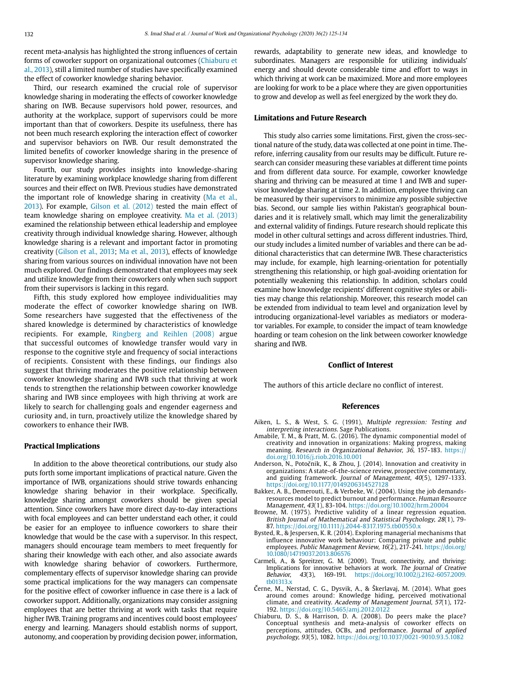recent meta-analysis has highlighted the strong influences of certain forms of coworker support on organizational outcomes (Chiaburu et al., 2013), still a limited number of studies have specifically examined the effect of coworker knowledge sharing behavior.

Third, our research examined the crucial role of supervisor knowledge sharing in moderating the effects of coworker knowledge sharing on IWB. Because supervisors hold power, resources, and authority at the workplace, support of supervisors could be more important than that of coworkers. Despite its usefulness, there has not been much research exploring the interaction effect of coworker and supervisor behaviors on IWB. Our result demonstrated the limited benefits of coworker knowledge sharing in the presence of supervisor knowledge sharing.

Fourth, our study provides insights into knowledge-sharing literature by examining workplace knowledge sharing from different sources and their effect on IWB. Previous studies have demonstrated the important role of knowledge sharing in creativity (Ma et al., 2013). For example, Gilson et al. (2012) tested the main effect of team knowledge sharing on employee creativity. Ma et al. (2013) examined the relationship between ethical leadership and employee creativity through individual knowledge sharing. However, although knowledge sharing is a relevant and important factor in promoting creativity (Gilson et al., 2013; Ma et al., 2013), effects of knowledge sharing from various sources on individual innovation have not been much explored. Our findings demonstrated that employees may seek and utilize knowledge from their coworkers only when such support from their supervisors is lacking in this regard.

Fifth, this study explored how employee individualities may moderate the effect of coworker knowledge sharing on IWB. Some researchers have suggested that the effectiveness of the shared knowledge is determined by characteristics of knowledge recipients. For example, Ringberg and Reihlen (2008) argue that successful outcomes of knowledge transfer would vary in response to the cognitive style and frequency of social interactions of recipients. Consistent with these findings, our findings also suggest that thriving moderates the positive relationship between coworker knowledge sharing and IWB such that thriving at work tends to strengthen the relationship between coworker knowledge sharing and IWB since employees with high thriving at work are likely to search for challenging goals and engender eagerness and curiosity and, in turn, proactively utilize the knowledge shared by coworkers to enhance their IWB.

#### **Practical Implications**

In addition to the above theoretical contributions, our study also puts forth some important implications of practical nature. Given the importance of IWB, organizations should strive towards enhancing knowledge sharing behavior in their workplace. Specifically, knowledge sharing amongst coworkers should be given special attention. Since coworkers have more direct day-to-day interactions with focal employees and can better understand each other, it could be easier for an employee to influence coworkers to share their knowledge that would be the case with a supervisor. In this respect, managers should encourage team members to meet frequently for sharing their knowledge with each other, and also associate awards with knowledge sharing behavior of coworkers. Furthermore, complementary effects of supervisor knowledge sharing can provide some practical implications for the way managers can compensate for the positive effect of coworker influence in case there is a lack of coworker support. Additionally, organizations may consider assigning employees that are better thriving at work with tasks that require higher IWB. Training programs and incentives could boost employees' energy and learning. Managers should establish norms of support, autonomy, and cooperation by providing decision power, information, rewards, adaptability to generate new ideas, and knowledge to subordinates. Managers are responsible for utilizing individuals' energy and should devote considerable time and effort to ways in which thriving at work can be maximized. More and more employees are looking for work to be a place where they are given opportunities to grow and develop as well as feel energized by the work they do.

#### **Limitations and Future Research**

This study also carries some limitations. First, given the cross-sectional nature of the study, data was collected at one point in time. Therefore, inferring causality from our results may be difficult. Future research can consider measuring these variables at different time points and from different data source. For example, coworker knowledge sharing and thriving can be measured at time 1 and IWB and supervisor knowledge sharing at time 2. In addition, employee thriving can be measured by their supervisors to minimize any possible subjective bias. Second, our sample lies within Pakistan's geographical boundaries and it is relatively small, which may limit the generalizability and external validity of findings. Future research should replicate this model in other cultural settings and across different industries. Third, our study includes a limited number of variables and there can be additional characteristics that can determine IWB. These characteristics may include, for example, high learning-orientation for potentially strengthening this relationship, or high goal-avoiding orientation for potentially weakening this relationship. In addition, scholars could examine how knowledge recipients' different cognitive styles or abilities may change this relationship. Moreover, this research model can be extended from individual to team level and organization level by introducing organizational-level variables as mediators or moderator variables. For example, to consider the impact of team knowledge hoarding or team cohesion on the link between coworker knowledge sharing and IWB.

#### **Conflict of Interest**

The authors of this article declare no conflict of interest.

#### **References**

- Aiken, L. S., & West, S. G. (1991), Multiple regression: Testing and interpreting interactions. Sage Publications.
- Amabile, T. M., & Pratt, M. G. (2016). The dynamic componential model of creativity and innovation in organizations: Making progress, making meaning. Research in Organizational Behavior, 36, 157-183. https: doi.org/10.1016/j.riob.2016.10.001
- Anderson, N., Potočnik, K., & Zhou, J. (2014). Innovation and creativity in organizations: A state-of-the-science review, prospective commentary, and guiding framework. Journal of Management, 40(5), 1297-1333. https://doi.org/10.1177/0149206314527128
- Bakker, A. B., Demerouti, E., & Verbeke, W. (2004). Using the job demandsresources model to predict burnout and performance. Human Resource Management, 43(1), 83-104. https://doi.org/10.1002/hrm.20004
- Browne, M. (1975). Predictive validity of a linear regression equation. British Journal of Mathematical and Statistical Psychology, 28(1), 79- 87. https://doi.org/10.1111/j.2044-8317.1975.tb00550.x
- Bysted, R., & Jespersen, K. R. (2014). Exploring managerial mechanisms that influence innovative work behaviour: Comparing private and public employees. Public Management Review, 16(2), 217-241. [https://doi.org/](https://doi.org/10.1080/14719037.2013.806576) [10.1080/14719037.2013.806576](https://doi.org/10.1080/14719037.2013.806576)
- Carmeli, A., & Spreitzer, G. M. (2009). Trust, connectivity, and thriving: Implications for innovative behaviors at work. The Journal of Creative Behavior, 43(3), 169-191. [https://doi.org/10.1002/j.2162-6057.2009.](https://doi.org/10.1002/j.2162-6057.2009.tb01313.x) [tb01313.x](https://doi.org/10.1002/j.2162-6057.2009.tb01313.x)
- erne, M., Nerstad, C. G., Dysvik, A., & Škerlavaj, M. (2014). What goes around comes around: Knowledge hiding, perceived motivational climate, and creativity. Academy of Management Journal, 57(1), 172- 192. https://doi.org/10.5465/amj.2012.0122
- Chiaburu, D. S., & Harrison, D. A. (2008). Do peers make the place? Conceptual synthesis and meta-analysis of coworker effects on perceptions, attitudes, OCBs, and performance. Journal of applied psychology, 93(5), 1082. https://doi.org/10.1037/0021-9010.93.5.1082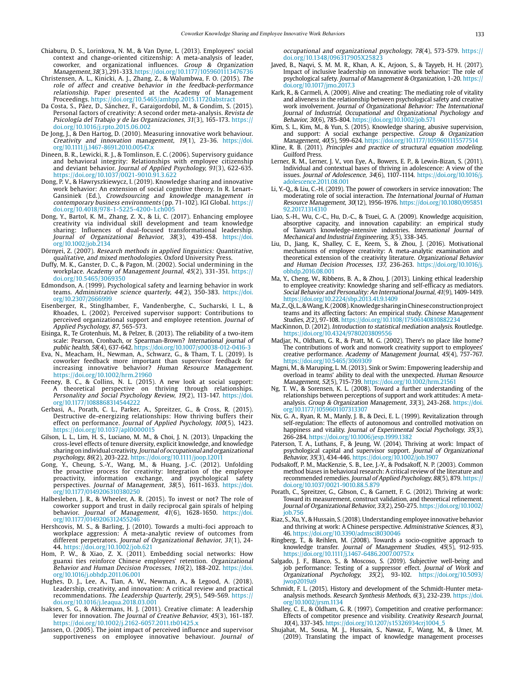- Chiaburu, D. S., Lorinkova, N. M., & Van Dyne, L. (2013). Employees' social context and change-oriented citizenship: A meta-analysis of leader, coworker, and organizational influences. Group & Organization Management, 38(3), 291-333. https://doi.org/10.1177/1059601113476736
- Christensen, A. L., Kinicki, A. J., Zhang, Z., & Walumbwa, F. O. (2015). The role of affect and creative behavior in the feedback-performance relationship. Paper presented at the Academy of Management Proceedings. https://doi.org/10.5465/ambpp.2015.11720abstract
- Da Costa, S., Páez, D., Sánchez, F., Garaigordobil, M., & Gondim, S. (2015). Personal factors of creativity: A second order meta-analysis. Revista de Psicología del Trabajo y de las Organizaciones, 31(3), 165-173. https:// doi.org/10.1016/j.rpto.2015.06.002
- De Jong, J., & Den Hartog, D. (2010). Measuring innovative work behaviour. Creativity and innovation management, 19(1), 23-36. [https://doi.](https://doi.org/10.1111/j.1467-8691.2010.00547.x) [org/10.1111/j.1467-8691.2010.00547.x](https://doi.org/10.1111/j.1467-8691.2010.00547.x)
- Dineen, B. R., Lewicki, R. J., & Tomlinson, E. C. (2006). Supervisory guidance and behavioral integrity: Relationships with employee citizenship and deviant behavior. Journal of Applied Psychology, 91(3), 622-635. https://doi.org/10.1037/0021-9010.91.3.622
- Dong, P. V., & Hawryszkiewycz, I. (2019). Knowledge sharing and innovative work behavior: An extension of social cognitive theory. In R. Lenart-Gansiniek (Ed.), Crowdsourcing and knowledge management in contemporary business environments (pp. 71-102). IGI Global. https:// doi.org/10.4018/978-1-5225-4200-1.ch005
- Dong, Y., Bartol, K. M., Zhang, Z. X., & Li, C. (2017). Enhancing employee creativity via individual skill development and team knowledge sharing: Influences of dual-focused transformational leadership. Journal of Organizational Behavior, 38(3), 439-458. [https://doi.](https://doi.org/10.1002/job.2134) [org/10.1002/job.2134](https://doi.org/10.1002/job.2134)
- Dörnyei, Z. (2007). Research methods in applied linguistics: Quantitative, qualitative, and mixed methodologies. Oxford University Press.
- Duffy, M. K., Ganster, D. C., & Pagon, M. (2002). Social undermining in the workplace. Academy of Management Journal, 45(2), 331-351. https:// doi.org/10.5465/3069350
- Edmondson, A. (1999). Psychological safety and learning behavior in work teams. Administrative science quarterly, 44(2), 350-383. [https://doi.](https://doi.org/10.2307/2666999) [org/10.2307/2666999](https://doi.org/10.2307/2666999)
- Eisenberger, R., Stinglhamber, F., Vandenberghe, C., Sucharski, I. L., & Rhoades, L. (2002). Perceived supervisor support: Contributions to perceived organizational support and employee retention. Journal of Applied Psychology, 87, 565-573.
- Eisinga, R., Te Grotenhuis, M., & Pelzer, B. (2013). The reliability of a two-item scale: Pearson, Cronbach, or Spearman-Brown? International journal of public health, 58(4), 637-642.<https://doi.org/10.1007/s00038-012-0416-3>
- Eva, N., Meacham, H., Newman, A., Schwarz, G., & Tham, T. L. (2019). Is coworker feedback more important than supervisor feedback for increasing innovative behavior? Human Resource Management. https://doi.org/10.1002/hrm.21960
- Feeney, B. C., & Collins, N. L. (2015). A new look at social support: A theoretical perspective on thriving through relationships. Personality and Social Psychology Review, 19(2), 113-147. [https://doi.](https://doi.org/10.1177/1088868314544222) [org/10.1177/1088868314544222](https://doi.org/10.1177/1088868314544222)
- Gerbasi, A., Porath, C. L., Parker, A., Spreitzer, G., & Cross, R. (2015). Destructive de-energizing relationships: How thriving buffers their effect on performance. Journal of Applied Psychology, 100(5), 1423. https://doi.org/10.1037/apl0000015
- Gilson, L. L., Lim, H. S., Luciano, M. M., & Choi, J. N. (2013). Unpacking the cross-level effects of tenure diversity, explicit knowledge, and knowledge sharing on individual creativity. Journal of occupational and organizational psychology, 86(2), 203-222. https://doi.org/10.1111/joop.12011
- Gong, Y., Cheung, S.-Y., Wang, M., & Huang, J.-C. (2012). Unfolding the proactive process for creativity: Integration of the employee proactivity, information exchange, and psychological safety perspectives. Journal of Management, 38(5), 1611-1633. [https://doi.](https://doi.org/10.1177/0149206310380250) [org/10.1177/0149206310380250](https://doi.org/10.1177/0149206310380250)
- Halbesleben, J. R., & Wheeler, A. R. (2015). To invest or not? The role of coworker support and trust in daily reciprocal gain spirals of helping behavior. Journal of Management, 41(6), 1628-1650. [https://doi.](https://doi.org/10.1177/0149206312455246) [org/10.1177/0149206312455246](https://doi.org/10.1177/0149206312455246)
- Hershcovis, M. S., & Barling, J. (2010). Towards a multi-foci approach to workplace aggression: A meta-analytic review of outcomes from different perpetrators. Journal of Organizational Behavior, 31(1), 24- 44. https://doi.org/10.1002/job.621
- Hom, P. W., & Xiao, Z. X. (2011). Embedding social networks: How guanxi ties reinforce Chinese employees' retention. Organizational Behavior and Human Decision Processes, 116(2), 188-202. [https://doi.](https://doi.org/10.1016/j.obhdp.2011.06.001) [org/10.1016/j.obhdp.2011.06.001](https://doi.org/10.1016/j.obhdp.2011.06.001)
- Hughes, D. J., Lee, A., Tian, A. W., Newman, A., & Legood, A. (2018). Leadership, creativity, and innovation: A critical review and practical recommendations. The Leadership Quarterly, 29(5), 549-569. https:// doi.org/10.1016/j.leaqua.2018.03.001
- Isaksen, S. G., & Akkermans, H. J. (2011). Creative climate: A leadership lever for innovation. The Journal of Creative Behavior, 45(3), 161-187. https://doi.org/10.1002/j.2162-6057.2011.tb01425.x
- Janssen, O. (2005). The joint impact of perceived influence and supervisor supportiveness on employee innovative behaviour. Journal of

occupational and organizational psychology, 78(4), 573-579. https:// doi.org/10.1348/096317905X25823

- Javed, B., Naqvi, S. M. M. R., Khan, A. K., Arjoon, S., & Tayyeb, H. H. (2017). Impact of inclusive leadership on innovative work behavior: The role of psychological safety. Journal of Management & Organization, 1-20. https:// doi.org/10.1017/jmo.2017.3
- Kark, R., & Carmeli, A. (2009). Alive and creating: The mediating role of vitality and aliveness in the relationship between psychological safety and creative work involvement. Journal of Organizational Behavior: The International Journal of Industrial, Occupational and Organizational Psychology and Behavior, 30(6), 785-804. https://doi.org/10.1002/job.571
- Kim, S. L., Kim, M., & Yun, S. (2015). Knowledge sharing, abusive supervision, and support: A social exchange perspective. Group & Organization Management, 40(5), 599-624. https://doi.org/10.1177/1059601115577514
- Kline, R. B. (2011). Principles and practice of structural equation modeling. Guilford Press.
- Lerner, R. M., Lerner, J. V., von Eye, A., Bowers, E. P., & Lewin-Bizan, S. (2011). Individual and contextual bases of thriving in adolescence: A view of the issues. Journal of Adolescence, 34(6), 1107-1114. [https://doi.org/10.1016/j.](https://doi.org/10.1016/j.adolescence.2011.08.001) [adolescence.2011.08.001](https://doi.org/10.1016/j.adolescence.2011.08.001)
- Li, Y.-Q., & Liu, C.-H. (2019). The power of coworkers in service innovation: The moderating role of social interaction. The International Journal of Human Resource Management, 30(12), 1956-1976. [https://doi.org/10.1080/095851](https://doi.org/10.1080/09585192.2017.1314310) [92.2017.1314310](https://doi.org/10.1080/09585192.2017.1314310)
- Liao, S.-H., Wu, C.-C., Hu, D.-C., & Tsuei, G. A. (2009). Knowledge acquisition, absorptive capacity, and innovation capability: an empirical study of Taiwan's knowledge-intensive industries. International Journal of Mechanical and Industrial Engineering, 3(5), 338-345.
- Liu, D., Jiang, K., Shalley, C. E., Keem, S., & Zhou, J. (2016). Motivational mechanisms of employee creativity: A meta-analytic examination and theoretical extension of the creativity literature. Organizational Behavior and Human Decision Processes, 137, 236-263. [https://doi.org/10.1016/j.](https://doi.org/10.1016/j.obhdp.2016.08.001) [obhdp.2016.08.001](https://doi.org/10.1016/j.obhdp.2016.08.001)
- Ma, Y., Cheng, W., Ribbens, B. A., & Zhou, J. (2013). Linking ethical leadership to employee creativity: Knowledge sharing and self-efficacy as mediators. Social Behavior and Personality: An International Journal, 41(9), 1409-1419. https://doi.org/10.2224/sbp.2013.41.9.1409
- Ma, Z., Qi, L., & Wang, K. (2008). Knowledge sharing in Chinese construction project teams and its affecting factors: An empirical study. Chinese Management Studies, 2(2), 97-108.<https://doi.org/10.1108/17506140810882234>
- MacKinnon, D. (2012). Introduction to statistical mediation analysis. Routledge. https://doi.org/10.4324/9780203809556
- Madjar, N., Oldham, G. R., & Pratt, M. G. (2002). There's no place like home? The contributions of work and nonwork creativity support to employees' creative performance. Academy of Management Journal, 45(4), 757-767. https://doi.org/10.5465/3069309
- Magni, M., & Maruping, L. M. (2013). Sink or Swim: Empowering leadership and overload in teams' ability to deal with the unexpected. Human Resource Management, 52(5), 715-739. https://doi.org/10.1002/hrm.21561
- Ng, T. W., & Sorensen, K. L. (2008). Toward a further understanding of the relationships between perceptions of support and work attitudes: A metaanalysis. Group & Organization Management, 33(3), 243-268. [https://doi.](https://doi.org/10.1177/1059601107313307) [org/10.1177/1059601107313307](https://doi.org/10.1177/1059601107313307)
- Nix, G. A., Ryan, R. M., Manly, J. B., & Deci, E. L. (1999). Revitalization through self-regulation: The effects of autonomous and controlled motivation on happiness and vitality. Journal of Experimental Social Psychology, 35(3), 266-284. https://doi.org/10.1006/jesp.1999.1382
- Paterson, T. A., Luthans, F., & Jeung, W. (2014). Thriving at work: Impact of psychological capital and supervisor support. Journal of Organizational Behavior, 35(3), 434-446. https://doi.org/10.1002/job.1907
- Podsakoff, P. M., MacKenzie, S. B., Lee, J.-Y., & Podsakoff, N. P. (2003). Common method biases in behavioral research: A critical review of the literature and recommended remedies. Journal of Applied Psychology, 88(5), 879. https:// doi.org/10.1037/0021-9010.88.5.879
- Porath, C., Spreitzer, G., Gibson, C., & Garnett, F. G. (2012). Thriving at work: Toward its measurement, construct validation, and theoretical refinement. Journal of Organizational Behavior, 33(2), 250-275. [https://doi.org/10.1002/](https://doi.org/10.1002/job.756) [job.756](https://doi.org/10.1002/job.756)
- Riaz, S., Xu, Y., & Hussain, S. (2018). Understanding employee innovative behavior and thriving at work: A Chinese perspective. Administrative Sciences, 8(3), 46. https://doi.org/10.3390/admsci8030046
- Ringberg, T., & Reihlen, M. (2008). Towards a socio-cognitive approach to knowledge transfer. Journal of Management Studies, 45(5), 912-935. https://doi.org/10.1111/j.1467-6486.2007.00757.x
- Salgado, J. F., Blanco, S., & Moscoso, S. (2019). Subjective well-being and job performance: Testing of a suppressor effect. Journal of Work and Organizational Psychology, 35(2), 93-102. [https://doi.org/10.5093/](https://doi.org/10.5093/jwop2019a9) [jwop2019a9](https://doi.org/10.5093/jwop2019a9)
- Schmidt, F. L. (2015). History and development of the Schmidt-Hunter metaanalysis methods. Research Synthesis Methods, 6(3), 232-239. [https://doi.](https://doi.org/10.1002/jrsm.1134) [org/10.1002/jrsm.1134](https://doi.org/10.1002/jrsm.1134)
- Shalley, C. E., & Oldham, G. R. (1997). Competition and creative performance: Effects of competitor presence and visibility. Creativity Research Journal, 10(4), 337-345. https://doi.org/10.1207/s15326934crj1004\_5
- Shujahat, M., Sousa, M. J., Hussain, S., Nawaz, F., Wang, M., & Umer, M. (2019). Translating the impact of knowledge management processes